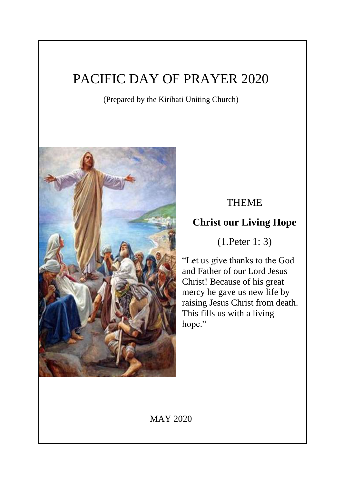# PACIFIC DAY OF PRAYER 2020

(Prepared by the Kiribati Uniting Church)



# **THEME**

# **Christ our Living Hope**

(1.Peter 1: 3)

"Let us give thanks to the God and Father of our Lord Jesus Christ! Because of his great mercy he gave us new life by raising Jesus Christ from death. This fills us with a living hope."

MAY 2020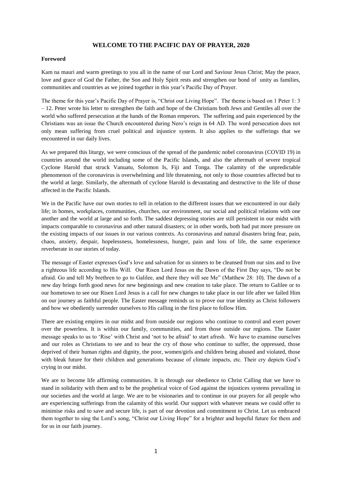# **WELCOME TO THE PACIFIC DAY OF PRAYER, 2020**

# **Foreword**

Kam na mauri and warm greetings to you all in the name of our Lord and Saviour Jesus Christ; May the peace, love and grace of God the Father, the Son and Holy Spirit rests and strengthen our bond of unity as families, communities and countries as we joined together in this year"s Pacific Day of Prayer.

The theme for this year"s Pacific Day of Prayer is, "Christ our Living Hope". The theme is based on 1 Peter 1: 3 – 12. Peter wrote his letter to strengthen the faith and hope of the Christians both Jews and Gentiles all over the world who suffered persecution at the hands of the Roman emperors. The suffering and pain experienced by the Christians was an issue the Church encountered during Nero"s reign in 64 AD. The word persecution does not only mean suffering from cruel political and injustice system. It also applies to the sufferings that we encountered in our daily lives.

As we prepared this liturgy, we were conscious of the spread of the pandemic nobel coronavirus (COVID 19) in countries around the world including some of the Pacific Islands, and also the aftermath of severe tropical Cyclone Harold that struck Vanuatu, Solomon Is, Fiji and Tonga. The calamity of the unpredictable phenomenon of the coronavirus is overwhelming and life threatening, not only to those countries affected but to the world at large. Similarly, the aftermath of cyclone Harold is devastating and destructive to the life of those affected in the Pacific Islands.

We in the Pacific have our own stories to tell in relation to the different issues that we encountered in our daily life; in homes, workplaces, communities, churches, our environment, our social and political relations with one another and the world at large and so forth. The saddest depressing stories are still persistent in our midst with impacts comparable to coronavirus and other natural disasters; or in other words, both had put more pressure on the existing impacts of our issues in our various contexts. As coronavirus and natural disasters bring fear, pain, chaos, anxiety, despair, hopelessness, homelessness, hunger, pain and loss of life, the same experience reverberate in our stories of today.

The message of Easter expresses God"s love and salvation for us sinners to be cleansed from our sins and to live a righteous life according to His Will. Our Risen Lord Jesus on the Dawn of the First Day says, "Do not be afraid. Go and tell My brethren to go to Galilee, and there they will see Me" (Matthew 28: 10). The dawn of a new day brings forth good news for new beginnings and new creation to take place. The return to Galilee or to our hometown to see our Risen Lord Jesus is a call for new changes to take place in our life after we failed Him on our journey as faithful people. The Easter message reminds us to prove our true identity as Christ followers and how we obediently surrender ourselves to His calling in the first place to follow Him.

There are existing empires in our midst and from outside our regions who continue to control and exert power over the powerless. It is within our family, communities, and from those outside our regions. The Easter message speaks to us to "Rise" with Christ and "not to be afraid" to start afresh. We have to examine ourselves and our roles as Christians to see and to hear the cry of those who continue to suffer, the oppressed, those deprived of their human rights and dignity, the poor, women/girls and children being abused and violated, those with bleak future for their children and generations because of climate impacts, etc. Their cry depicts God's crying in our midst.

We are to become life affirming communities. It is through our obedience to Christ Calling that we have to stand in solidarity with them and to be the prophetical voice of God against the injustices systems prevailing in our societies and the world at large. We are to be visionaries and to continue in our prayers for all people who are experiencing sufferings from the calamity of this world. Our support with whatever means we could offer to minimise risks and to save and secure life, is part of our devotion and commitment to Christ. Let us embraced them together to sing the Lord"s song, "Christ our Living Hope" for a brighter and hopeful future for them and for us in our faith journey.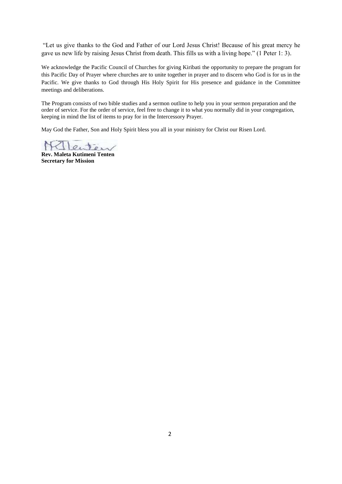"Let us give thanks to the God and Father of our Lord Jesus Christ! Because of his great mercy he gave us new life by raising Jesus Christ from death. This fills us with a living hope." (1 Peter 1: 3).

We acknowledge the Pacific Council of Churches for giving Kiribati the opportunity to prepare the program for this Pacific Day of Prayer where churches are to unite together in prayer and to discern who God is for us in the Pacific. We give thanks to God through His Holy Spirit for His presence and guidance in the Committee meetings and deliberations.

The Program consists of two bible studies and a sermon outline to help you in your sermon preparation and the order of service. For the order of service, feel free to change it to what you normally did in your congregation, keeping in mind the list of items to pray for in the Intercessory Prayer.

May God the Father, Son and Holy Spirit bless you all in your ministry for Christ our Risen Lord.

enter

**Rev. Maleta Kutimeni Tenten Secretary for Mission**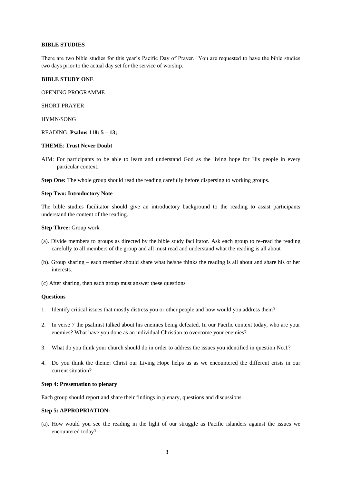# **BIBLE STUDIES**

There are two bible studies for this year"s Pacific Day of Prayer. You are requested to have the bible studies two days prior to the actual day set for the service of worship.

### **BIBLE STUDY ONE**

OPENING PROGRAMME

SHORT PRAYER

HYMN/SONG

READING: **Psalms 118: 5 – 13;**

## **THEME**: **Trust Never Doubt**

AIM: For participants to be able to learn and understand God as the living hope for His people in every particular context.

**Step One:** The whole group should read the reading carefully before dispersing to working groups.

# **Step Two: Introductory Note**

The bible studies facilitator should give an introductory background to the reading to assist participants understand the content of the reading.

#### **Step Three:** Group work

- (a). Divide members to groups as directed by the bible study facilitator. Ask each group to re-read the reading carefully to all members of the group and all must read and understand what the reading is all about
- (b). Group sharing each member should share what he/she thinks the reading is all about and share his or her interests.
- (c) After sharing, then each group must answer these questions

#### **Questions**

- 1. Identify critical issues that mostly distress you or other people and how would you address them?
- 2. In verse 7 the psalmist talked about his enemies being defeated. In our Pacific context today, who are your enemies? What have you done as an individual Christian to overcome your enemies?
- 3. What do you think your church should do in order to address the issues you identified in question No.1?
- 4. Do you think the theme: Christ our Living Hope helps us as we encountered the different crisis in our current situation?

# **Step 4: Presentation to plenary**

Each group should report and share their findings in plenary, questions and discussions

#### **Step 5: APPROPRIATION:**

(a). How would you see the reading in the light of our struggle as Pacific islanders against the issues we encountered today?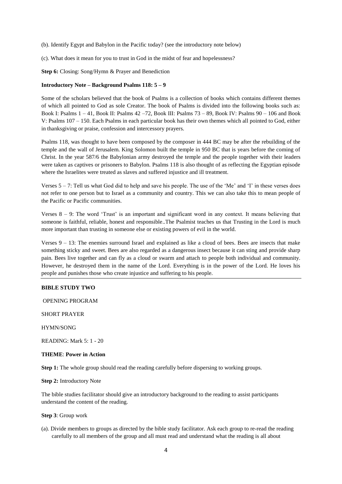(b). Identify Egypt and Babylon in the Pacific today? (see the introductory note below)

(c). What does it mean for you to trust in God in the midst of fear and hopelessness?

**Step 6:** Closing: Song/Hymn & Prayer and Benediction

#### **Introductory Note – Background Psalms 118: 5 – 9**

Some of the scholars believed that the book of Psalms is a collection of books which contains different themes of which all pointed to God as sole Creator. The book of Psalms is divided into the following books such as: Book I: Psalms 1 – 41, Book II: Psalms 42 –72, Book III: Psalms 73 – 89, Book IV: Psalms 90 – 106 and Book V: Psalms 107 – 150. Each Psalms in each particular book has their own themes which all pointed to God, either in thanksgiving or praise, confession and intercessory prayers.

Psalms 118, was thought to have been composed by the composer in 444 BC may be after the rebuilding of the temple and the wall of Jerusalem. King Solomon built the temple in 950 BC that is years before the coming of Christ. In the year 587/6 the Babylonian army destroyed the temple and the people together with their leaders were taken as captives or prisoners to Babylon. Psalms 118 is also thought of as reflecting the Egyptian episode where the Israelites were treated as slaves and suffered injustice and ill treatment.

Verses  $5 - 7$ : Tell us what God did to help and save his people. The use of the 'Me' and 'I' in these verses does not refer to one person but to Israel as a community and country. This we can also take this to mean people of the Pacific or Pacific communities.

Verses  $8 - 9$ : The word 'Trust' is an important and significant word in any context. It means believing that someone is faithful, reliable, honest and responsible..The Psalmist teaches us that Trusting in the Lord is much more important than trusting in someone else or existing powers of evil in the world.

Verses 9 – 13: The enemies surround Israel and explained as like a cloud of bees. Bees are insects that make something sticky and sweet. Bees are also regarded as a dangerous insect because it can sting and provide sharp pain. Bees live together and can fly as a cloud or swarm and attach to people both individual and community. However, he destroyed them in the name of the Lord. Everything is in the power of the Lord. He loves his people and punishes those who create injustice and suffering to his people.

# **BIBLE STUDY TWO**

OPENING PROGRAM

SHORT PRAYER

HYMN/SONG

READING: Mark 5: 1 - 20

#### **THEME**: **Power in Action**

**Step 1:** The whole group should read the reading carefully before dispersing to working groups.

**Step 2:** Introductory Note

The bible studies facilitator should give an introductory background to the reading to assist participants understand the content of the reading.

**Step 3**: Group work

(a). Divide members to groups as directed by the bible study facilitator. Ask each group to re-read the reading carefully to all members of the group and all must read and understand what the reading is all about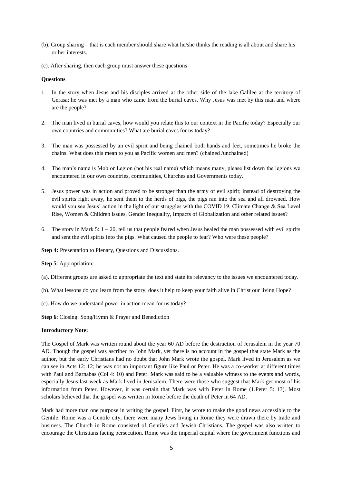- (b). Group sharing that is each member should share what he/she thinks the reading is all about and share his or her interests.
- (c). After sharing, then each group must answer these questions

# **Questions**

- 1. In the story when Jesus and his disciples arrived at the other side of the lake Galilee at the territory of Gerasa; he was met by a man who came from the burial caves. Why Jesus was met by this man and where are the people?
- 2. The man lived in burial caves, how would you relate this to our context in the Pacific today? Especially our own countries and communities? What are burial caves for us today?
- 3. The man was possessed by an evil spirit and being chained both hands and feet, sometimes he broke the chains. What does this mean to you as Pacific women and men? (chained /unchained)
- 4. The man"s name is Mob or Legion (not his real name) which means many, please list down the legions we encountered in our own countries, communities, Churches and Governments today.
- 5. Jesus power was in action and proved to be stronger than the army of evil spirit; instead of destroying the evil spirits right away, he sent them to the herds of pigs, the pigs ran into the sea and all drowned. How would you see Jesus" action in the light of our struggles with the COVID 19, Climate Change & Sea Level Rise, Women & Children issues, Gender Inequality, Impacts of Globalization and other related issues?
- 6. The story in Mark 5:  $1 20$ , tell us that people feared when Jesus healed the man possessed with evil spirits and sent the evil spirits into the pigs. What caused the people to fear? Who were these people?

**Step 4:** Presentation to Plenary, Questions and Discussions.

#### **Step 5**: Appropriation:

- (a). Different groups are asked to appropriate the text and state its relevancy to the issues we encountered today.
- (b). What lessons do you learn from the story, does it help to keep your faith alive in Christ our living Hope?
- (c). How do we understand power in action mean for us today?

# **Step 6**: Closing: Song/Hymn & Prayer and Benediction

#### **Introductory Note:**

The Gospel of Mark was written round about the year 60 AD before the destruction of Jerusalem in the year 70 AD. Though the gospel was ascribed to John Mark, yet there is no account in the gospel that state Mark as the author, but the early Christians had no doubt that John Mark wrote the gospel. Mark lived in Jerusalem as we can see in Acts 12: 12; he was not an important figure like Paul or Peter. He was a co-worker at different times with Paul and Barnabas (Col 4: 10) and Peter. Mark was said to be a valuable witness to the events and words, especially Jesus last week as Mark lived in Jerusalem. There were those who suggest that Mark get most of his information from Peter. However, it was certain that Mark was with Peter in Rome (1.Peter 5: 13). Most scholars believed that the gospel was written in Rome before the death of Peter in 64 AD.

Mark had more than one purpose in writing the gospel: First, he wrote to make the good news accessible to the Gentile. Rome was a Gentile city, there were many Jews living in Rome they were drawn there by trade and business. The Church in Rome consisted of Gentiles and Jewish Christians. The gospel was also written to encourage the Christians facing persecution. Rome was the imperial capital where the government functions and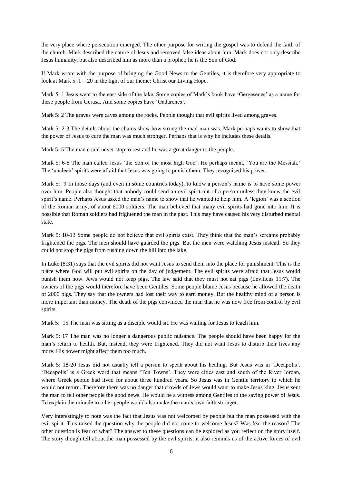the very place where persecution emerged. The other purpose for writing the gospel was to defend the faith of the church. Mark described the nature of Jesus and removed false ideas about him. Mark does not only describe Jesus humanity, but also described him as more than a prophet; he is the Son of God.

If Mark wrote with the purpose of bringing the Good News to the Gentiles, it is therefore very appropriate to look at Mark 5:  $1 - 20$  in the light of our theme: Christ our Living Hope.

Mark 5: 1 Jesus went to the east side of the lake. Some copies of Mark"s book have "Gergesenes" as a name for these people from Gerasa. And some copies have 'Gadarenes'.

Mark 5: 2 The graves were caves among the rocks. People thought that evil spirits lived among graves.

Mark 5: 2-3 The details about the chains show how strong the mad man was. Mark perhaps wants to show that the power of Jesus to cure the man was much stronger. Perhaps that is why he includes these details.

Mark 5: 5 The man could never stop to rest and he was a great danger to the people.

Mark 5: 6-8 The man called Jesus 'the Son of the most high God'. He perhaps meant, 'You are the Messiah.' The "unclean" spirits were afraid that Jesus was going to punish them. They recognised his power.

Mark 5: 9 In those days (and even in some countries today), to know a person's name is to have some power over him. People also thought that nobody could send an evil spirit out of a person unless they knew the evil spirit's name. Perhaps Jesus asked the man's name to show that he wanted to help him. A 'legion' was a section of the Roman army, of about 6000 soldiers. The man believed that many evil spirits had gone into him. It is possible that Roman soldiers had frightened the man in the past. This may have caused his very disturbed mental state.

Mark 5: 10-13 Some people do not believe that evil spirits exist. They think that the man's screams probably frightened the pigs. The men should have guarded the pigs. But the men were watching Jesus instead. So they could not stop the pigs from rushing down the hill into the lake.

In Luke (8:31) says that the evil spirits did not want Jesus to send them into the place for punishment. This is the place where God will put evil spirits on the day of judgement. The evil spirits were afraid that Jesus would punish them now. Jews would not keep pigs. The law said that they must not eat pigs (Leviticus 11:7). The owners of the pigs would therefore have been Gentiles. Some people blame Jesus because he allowed the death of 2000 pigs. They say that the owners had lost their way to earn money. But the healthy mind of a person is more important than money. The death of the pigs convinced the man that he was now free from control by evil spirits.

Mark 5: 15 The man was sitting as a disciple would sit. He was waiting for Jesus to teach him.

Mark 5: 17 The man was no longer a dangerous public nuisance. The people should have been happy for the man"s return to health. But, instead, they were frightened. They did not want Jesus to disturb their lives any more. His power might affect them too much.

Mark 5: 18-20 Jesus did not usually tell a person to speak about his healing. But Jesus was in 'Decapolis'. "Decapolis" is a Greek word that means "Ten Towns". They were cities east and south of the River Jordan, where Greek people had lived for about three hundred years. So Jesus was in Gentile territory to which he would not return. Therefore there was no danger that crowds of Jews would want to make Jesus king. Jesus sent the man to tell other people the good news. He would be a witness among Gentiles to the saving power of Jesus. To explain the miracle to other people would also make the man"s own faith stronger.

Very interestingly to note was the fact that Jesus was not welcomed by people but the man possessed with the evil spirit. This raised the question why the people did not come to welcome Jesus? Was fear the reason? The other question is fear of what? The answer to these questions can be explored as you reflect on the story itself. The story though tell about the man possessed by the evil spirits, it also reminds us of the active forces of evil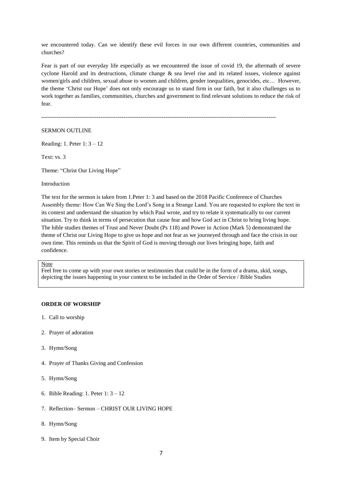we encountered today. Can we identify these evil forces in our own different countries, communities and churches?

Fear is part of our everyday life especially as we encountered the issue of covid 19, the aftermath of severe cyclone Harold and its destructions, climate change & sea level rise and its related issues, violence against women/girls and children, sexual abuse to women and children, gender inequalities, genocides, etc... However, the theme "Christ our Hope" does not only encourage us to stand firm in our faith, but it also challenges us to work together as families, communities, churches and government to find relevant solutions to reduce the risk of fear.

---------------------------------------------------------------------------------------------------------------------------

# SERMON OUTLINE

Reading: 1. Peter 1: 3 – 12

Text: vs. 3

Theme: "Christ Our Living Hope"

#### Introduction

The text for the sermon is taken from 1.Peter 1: 3 and based on the 2018 Pacific Conference of Churches Assembly theme: How Can We Sing the Lord"s Song in a Strange Land. You are requested to explore the text in its context and understand the situation by which Paul wrote, and try to relate it systematically to our current situation. Try to think in terms of persecution that cause fear and how God act in Christ to bring living hope. The bible studies themes of Trust and Never Doubt (Ps 118) and Power in Action (Mark 5) demonstrated the theme of Christ our Living Hope to give us hope and not fear as we journeyed through and face the crisis in our own time. This reminds us that the Spirit of God is moving through our lives bringing hope, faith and confidence.

# Note

Feel free to come up with your own stories or testimonies that could be in the form of a drama, skid, songs, depicting the issues happening in your context to be included in the Order of Service / Bible Studies

#### **ORDER OF WORSHIP**

- 1. Call to worship
- 2. Prayer of adoration
- 3. Hymn/Song
- 4. Prayer of Thanks Giving and Confession
- 5. Hymn/Song
- 6. Bible Reading: 1. Peter 1: 3 12
- 7. Reflection– Sermon CHRIST OUR LIVING HOPE
- 8. Hymn/Song
- 9. Item by Special Choir